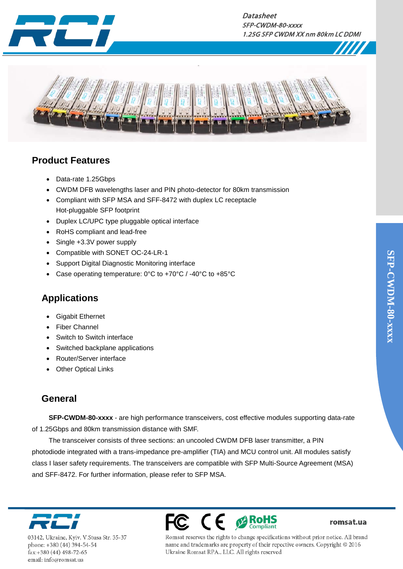



### **Product Features**

- Data-rate 1.25Gbps
- CWDM DFB wavelengths laser and PIN photo-detector for 80km transmission
- Compliant with SFP MSA and SFF-8472 with duplex LC receptacle Hot-pluggable SFP footprint
- Duplex LC/UPC type pluggable optical interface
- RoHS compliant and lead-free
- Single +3.3V power supply
- Compatible with SONET OC-24-LR-1
- Support Digital Diagnostic Monitoring interface
- Case operating temperature: 0°C to +70°C / -40°C to +85°C

### **Applications**

- Gigabit Ethernet
- **Fiber Channel**
- Switch to Switch interface
- Switched backplane applications
- Router/Server interface
- **Other Optical Links**

### **General**

**SFP-CWDM-80-xxxx** - are high performance transceivers, cost effective modules supporting data-rate of 1.25Gbps and 80km transmission distance with SMF.

The transceiver consists of three sections: an uncooled CWDM DFB laser transmitter, a PIN photodiode integrated with a trans-impedance pre-amplifier (TIA) and MCU control unit. All modules satisfy class I laser safety requirements. The transceivers are compatible with SFP Multi-Source Agreement (MSA) and SFF-8472. For further information, please refer to SFP MSA.



03142, Ukraine, Kyiv, V.Stusa Str. 35-37 phone: +380 (44) 394-54-54 fax:+380 (44) 498-72-65 email: info@romsat.ua



romsat.ua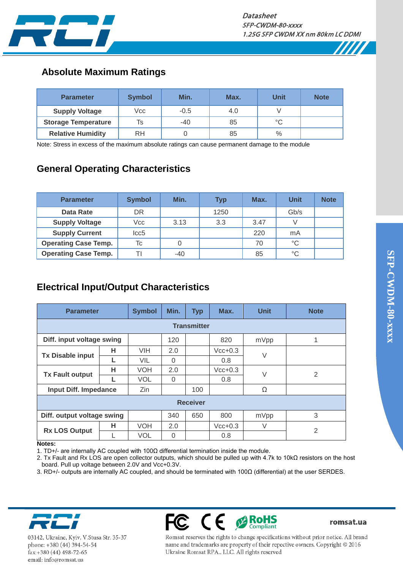

### **Absolute Maximum Ratings**

| <b>Parameter</b>           | <b>Symbol</b> | Min.   | Max. | <b>Unit</b> | <b>Note</b> |
|----------------------------|---------------|--------|------|-------------|-------------|
| <b>Supply Voltage</b>      | Vcc           | $-0.5$ | 4.0  |             |             |
| <b>Storage Temperature</b> | Ts            | $-40$  | 85   | °C          |             |
| <b>Relative Humidity</b>   | <b>RH</b>     |        | 85   | $\%$        |             |

Note: Stress in excess of the maximum absolute ratings can cause permanent damage to the module

# **General Operating Characteristics**

| <b>Parameter</b>            | <b>Symbol</b> | Min.  | <b>Typ</b> | Max. | <b>Unit</b>  | <b>Note</b> |
|-----------------------------|---------------|-------|------------|------|--------------|-------------|
| Data Rate                   | DR            |       | 1250       |      | Gb/s         |             |
| <b>Supply Voltage</b>       | Vcc           | 3.13  | 3.3        | 3.47 |              |             |
| <b>Supply Current</b>       | lcc5          |       |            | 220  | mA           |             |
| <b>Operating Case Temp.</b> | Тc            |       |            | 70   | °C           |             |
| <b>Operating Case Temp.</b> |               | $-40$ |            | 85   | $^{\circ}$ C |             |

# **Electrical Input/Output Characteristics**

| <b>Parameter</b>             |   | <b>Symbol</b> | Min.     | <b>Typ</b> | Max.      | <b>Unit</b> | <b>Note</b> |  |  |
|------------------------------|---|---------------|----------|------------|-----------|-------------|-------------|--|--|
| <b>Transmitter</b>           |   |               |          |            |           |             |             |  |  |
| Diff. input voltage swing    |   |               | 120      |            | 820       | mVpp        |             |  |  |
| <b>Tx Disable input</b>      | н | <b>VIH</b>    | 2.0      |            | $Vcc+0.3$ | $\vee$      |             |  |  |
|                              |   | VIL           | $\Omega$ |            | 0.8       |             |             |  |  |
| <b>Tx Fault output</b>       | н | <b>VOH</b>    | 2.0      |            | $Vcc+0.3$ | $\vee$      | 2           |  |  |
|                              |   | <b>VOL</b>    | $\Omega$ |            | 0.8       |             |             |  |  |
| <b>Input Diff. Impedance</b> |   | Zin           |          | 100        |           | Ω           |             |  |  |
| <b>Receiver</b>              |   |               |          |            |           |             |             |  |  |
| Diff. output voltage swing   |   | 340           | 650      | 800        | mVpp      | 3           |             |  |  |
| <b>Rx LOS Output</b>         | н | <b>VOH</b>    | 2.0      |            | $Vcc+0.3$ | $\vee$      | 2           |  |  |
|                              |   | <b>VOL</b>    | 0        |            | 0.8       |             |             |  |  |

#### **Notes:**

1. TD+/- are internally AC coupled with 100Ω differential termination inside the module.

2. Tx Fault and Rx LOS are open collector outputs, which should be pulled up with 4.7k to 10kΩ resistors on the host board. Pull up voltage between 2.0V and Vcc+0.3V.

3. RD+/- outputs are internally AC coupled, and should be terminated with 100Ω (differential) at the user SERDES.



03142, Ukraine, Kyiv, V.Stusa Str. 35-37 phone: +380 (44) 394-54-54 fax:+380 (44) 498-72-65 email: info@romsat.ua



romsat.ua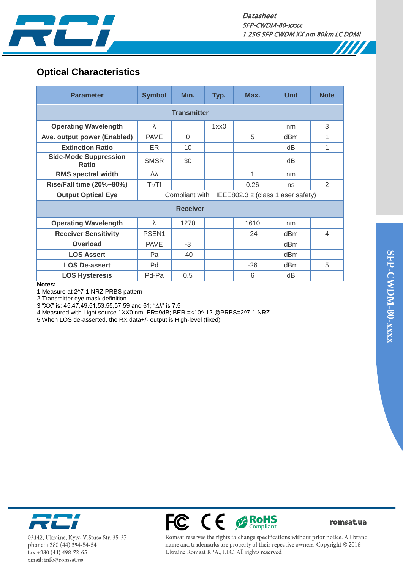

7777

# **Optical Characteristics**

| <b>Parameter</b>                                                                 | <b>Symbol</b> | Min.     | Typ. | Max.  | <b>Unit</b> | <b>Note</b>    |  |  |  |
|----------------------------------------------------------------------------------|---------------|----------|------|-------|-------------|----------------|--|--|--|
| <b>Transmitter</b>                                                               |               |          |      |       |             |                |  |  |  |
| <b>Operating Wavelength</b>                                                      | $\lambda$     |          | 1xx0 |       | nm          | 3              |  |  |  |
| Ave. output power (Enabled)                                                      | <b>PAVE</b>   | $\Omega$ |      | 5     | dBm         | 1              |  |  |  |
| <b>Extinction Ratio</b>                                                          | ER            | 10       |      |       | dB          | 1              |  |  |  |
| <b>Side-Mode Suppression</b><br><b>Ratio</b>                                     | <b>SMSR</b>   | 30       |      |       | dB          |                |  |  |  |
| <b>RMS spectral width</b>                                                        | Δλ            |          |      | 1     | nm          |                |  |  |  |
| Rise/Fall time (20%~80%)                                                         | Tr/Tf         |          |      | 0.26  | ns          | 2              |  |  |  |
| <b>Output Optical Eye</b><br>IEEE802.3 z (class 1 aser safety)<br>Compliant with |               |          |      |       |             |                |  |  |  |
| <b>Receiver</b>                                                                  |               |          |      |       |             |                |  |  |  |
| <b>Operating Wavelength</b>                                                      | $\lambda$     | 1270     |      | 1610  | nm          |                |  |  |  |
| <b>Receiver Sensitivity</b>                                                      | PSEN1         |          |      | $-24$ | dBm         | $\overline{4}$ |  |  |  |
| <b>Overload</b>                                                                  | <b>PAVE</b>   | $-3$     |      |       | dBm         |                |  |  |  |
| <b>LOS Assert</b>                                                                | Pa            | $-40$    |      |       | dBm         |                |  |  |  |
| <b>LOS De-assert</b>                                                             | Pd            |          |      | $-26$ | dBm         | 5              |  |  |  |
| <b>LOS Hysteresis</b><br><b>Ballisto</b>                                         | Pd-Pa         | 0.5      |      | 6     | dB          |                |  |  |  |

**Notes:**

1.Measure at 2^7-1 NRZ PRBS pattern

2.Transmitter eye mask definition

3."XX" is: 45,47,49,51,53,55,57,59 and 61; "∆λ" is 7.5

4.Measured with Light source 1XX0 nm, ER=9dB; BER =<10^-12 @PRBS=2^7-1 NRZ

5.When LOS de-asserted, the RX data+/- output is High-level (fixed)



03142, Ukraine, Kyiv, V.Stusa Str. 35-37 phone: +380 (44) 394-54-54 fax:+380 (44) 498-72-65 email: info@romsat.ua



romsat.ua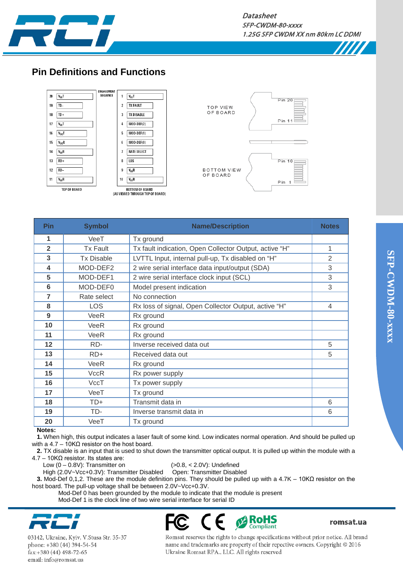

 $Pin 20$ 

**Pin** 

 $Pin 10$ 

Pin

#### **Pin Definitions and Functions**



| 1<br>VeeT<br>Tx ground<br>$\overline{2}$<br><b>Tx Fault</b><br>Tx fault indication, Open Collector Output, active "H"<br>1<br>3<br>2<br><b>Tx Disable</b><br>LVTTL Input, internal pull-up, Tx disabled on "H"<br>4<br>MOD-DEF2<br>3<br>2 wire serial interface data input/output (SDA)<br>5<br>MOD-DEF1<br>3<br>2 wire serial interface clock input (SCL)<br>6<br>MOD-DEF0<br>3<br>Model present indication<br>7<br>No connection<br>Rate select<br>8<br><b>LOS</b><br>Rx loss of signal, Open Collector Output, active "H"<br>$\overline{4}$<br>9<br>Rx ground<br>VeeR<br>10<br>Rx ground<br>VeeR<br>11<br>VeeR<br>Rx ground<br>12<br>RD-<br>Inverse received data out<br>5<br>13<br>$RD+$<br>Received data out<br>5<br>14<br>VeeR<br>Rx ground<br>15<br>Rx power supply<br><b>VccR</b><br>16<br>VccT<br>Tx power supply<br>17<br>VeeT<br>Tx ground | <b>Pin</b> | <b>Symbol</b> | <b>Name/Description</b> | <b>Notes</b> |
|-------------------------------------------------------------------------------------------------------------------------------------------------------------------------------------------------------------------------------------------------------------------------------------------------------------------------------------------------------------------------------------------------------------------------------------------------------------------------------------------------------------------------------------------------------------------------------------------------------------------------------------------------------------------------------------------------------------------------------------------------------------------------------------------------------------------------------------------------------|------------|---------------|-------------------------|--------------|
|                                                                                                                                                                                                                                                                                                                                                                                                                                                                                                                                                                                                                                                                                                                                                                                                                                                       |            |               |                         |              |
|                                                                                                                                                                                                                                                                                                                                                                                                                                                                                                                                                                                                                                                                                                                                                                                                                                                       |            |               |                         |              |
|                                                                                                                                                                                                                                                                                                                                                                                                                                                                                                                                                                                                                                                                                                                                                                                                                                                       |            |               |                         |              |
|                                                                                                                                                                                                                                                                                                                                                                                                                                                                                                                                                                                                                                                                                                                                                                                                                                                       |            |               |                         |              |
|                                                                                                                                                                                                                                                                                                                                                                                                                                                                                                                                                                                                                                                                                                                                                                                                                                                       |            |               |                         |              |
|                                                                                                                                                                                                                                                                                                                                                                                                                                                                                                                                                                                                                                                                                                                                                                                                                                                       |            |               |                         |              |
|                                                                                                                                                                                                                                                                                                                                                                                                                                                                                                                                                                                                                                                                                                                                                                                                                                                       |            |               |                         |              |
|                                                                                                                                                                                                                                                                                                                                                                                                                                                                                                                                                                                                                                                                                                                                                                                                                                                       |            |               |                         |              |
|                                                                                                                                                                                                                                                                                                                                                                                                                                                                                                                                                                                                                                                                                                                                                                                                                                                       |            |               |                         |              |
|                                                                                                                                                                                                                                                                                                                                                                                                                                                                                                                                                                                                                                                                                                                                                                                                                                                       |            |               |                         |              |
|                                                                                                                                                                                                                                                                                                                                                                                                                                                                                                                                                                                                                                                                                                                                                                                                                                                       |            |               |                         |              |
|                                                                                                                                                                                                                                                                                                                                                                                                                                                                                                                                                                                                                                                                                                                                                                                                                                                       |            |               |                         |              |
|                                                                                                                                                                                                                                                                                                                                                                                                                                                                                                                                                                                                                                                                                                                                                                                                                                                       |            |               |                         |              |
|                                                                                                                                                                                                                                                                                                                                                                                                                                                                                                                                                                                                                                                                                                                                                                                                                                                       |            |               |                         |              |
|                                                                                                                                                                                                                                                                                                                                                                                                                                                                                                                                                                                                                                                                                                                                                                                                                                                       |            |               |                         |              |
|                                                                                                                                                                                                                                                                                                                                                                                                                                                                                                                                                                                                                                                                                                                                                                                                                                                       |            |               |                         |              |
|                                                                                                                                                                                                                                                                                                                                                                                                                                                                                                                                                                                                                                                                                                                                                                                                                                                       |            |               |                         |              |
| 6                                                                                                                                                                                                                                                                                                                                                                                                                                                                                                                                                                                                                                                                                                                                                                                                                                                     | 18         | TD+           | Transmit data in        |              |
| TD-<br>19<br>Inverse transmit data in<br>6                                                                                                                                                                                                                                                                                                                                                                                                                                                                                                                                                                                                                                                                                                                                                                                                            |            |               |                         |              |
| 20<br>VeeT<br>Tx ground                                                                                                                                                                                                                                                                                                                                                                                                                                                                                                                                                                                                                                                                                                                                                                                                                               |            |               |                         |              |

#### **Notes:**

**1.** When high, this output indicates a laser fault of some kind. Low indicates normal operation. And should be pulled up with a 4.7 – 10KΩ resistor on the host board.

**2.** TX disable is an input that is used to shut down the transmitter optical output. It is pulled up within the module with a 4.7 – 10KΩ resistor. Its states are:

Low (0 – 0.8V): Transmitter on (>0.8, < 2.0V): Undefined<br>High (2.0V~Vcc+0.3V): Transmitter Disabled Open: Transmitter Disabled

High (2.0V~Vcc+0.3V): Transmitter Disabled **3.** Mod-Def 0,1,2. These are the module definition pins. They should be pulled up with a 4.7K – 10KΩ resistor on the host board. The pull-up voltage shall be between 2.0V~Vcc+0.3V.

 Mod-Def 0 has been grounded by the module to indicate that the module is present Mod-Def 1 is the clock line of two wire serial interface for serial ID



03142, Ukraine, Kyiv, V.Stusa Str. 35-37 phone: +380 (44) 394-54-54 fax:+380 (44) 498-72-65 email: info@romsat.ua



romsat.ua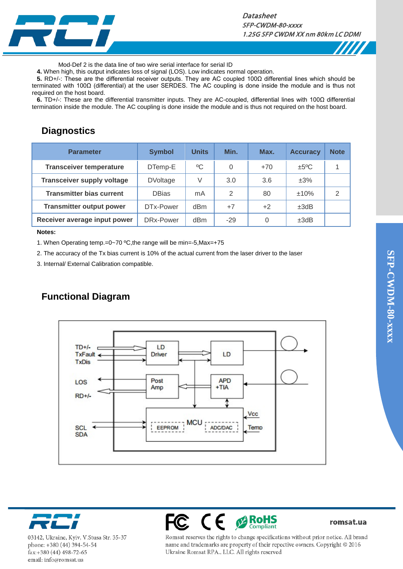

#### **Datasheet** SFP-CWDM-80-xxxx 1.25G SFP CWDM XX nm 80km LC DDMI



Mod-Def 2 is the data line of two wire serial interface for serial ID

**4.** When high, this output indicates loss of signal (LOS). Low indicates normal operation.

**5.** RD+/-: These are the differential receiver outputs. They are AC coupled 100Ω differential lines which should be terminated with 100Ω (differential) at the user SERDES. The AC coupling is done inside the module and is thus not required on the host board.

**6.** TD+/-: These are the differential transmitter inputs. They are AC-coupled, differential lines with 100Ω differential termination inside the module. The AC coupling is done inside the module and is thus not required on the host board.

### **Diagnostics**

| <b>Parameter</b>                  | <b>Symbol</b>   | <b>Units</b>    | Min.     | Max.  | <b>Accuracy</b> | <b>Note</b>   |
|-----------------------------------|-----------------|-----------------|----------|-------|-----------------|---------------|
| <b>Transceiver temperature</b>    | DTemp-E         | $\rm ^{0}C$     | $\Omega$ | $+70$ | ±5°C            |               |
| <b>Transceiver supply voltage</b> | <b>DVoltage</b> | V               | 3.0      | 3.6   | $\pm 3\%$       |               |
| <b>Transmitter bias current</b>   | <b>DBias</b>    | mA              | 2        | 80    | ±10%            | $\mathcal{P}$ |
| <b>Transmitter output power</b>   | DTx-Power       | d <sub>Bm</sub> | $+7$     | $+2$  | ±3dB            |               |
| Receiver average input power      | DRx-Power       | d <sub>Bm</sub> | $-29$    | 0     | ±3dB            |               |

#### **Notes:**

1. When Operating temp.=0~70 ºC,the range will be min=-5,Max=+75

2. The accuracy of the Tx bias current is 10% of the actual current from the laser driver to the laser

3. Internal/ External Calibration compatible.

### **Functional Diagram**





03142, Ukraine, Kyiv, V.Stusa Str. 35-37 phone: +380 (44) 394-54-54 fax:+380 (44) 498-72-65 email: info@romsat.ua



romsat.ua